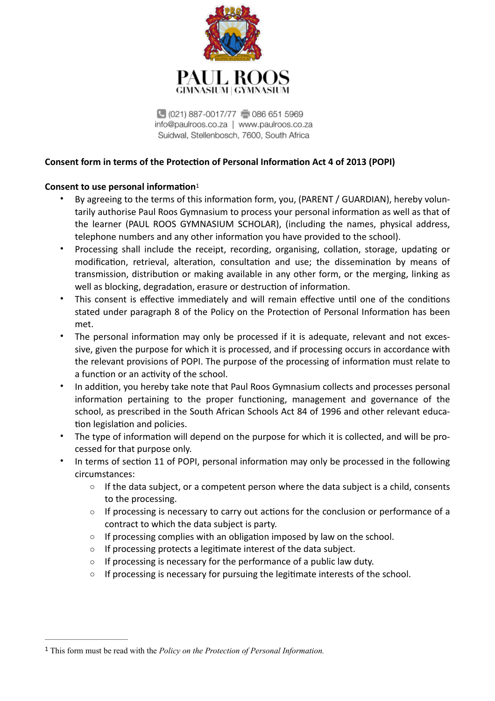

<span id="page-0-1"></span>3969 (021) 887-0017/77 (3086 651 5969 info@paulroos.co.za | www.paulroos.co.za Suidwal, Stellenbosch, 7600, South Africa

# **Consent form in terms of the Protection of Personal Information Act 4 of 2013 (POPI)**

## **Consent to use personal information**<sup>[1](#page-0-0)</sup>

- By agreeing to the terms of this information form, you, (PARENT / GUARDIAN), hereby voluntarily authorise Paul Roos Gymnasium to process your personal information as well as that of the learner (PAUL ROOS GYMNASIUM SCHOLAR), (including the names, physical address, telephone numbers and any other information you have provided to the school).
- Processing shall include the receipt, recording, organising, collation, storage, updating or modification, retrieval, alteration, consultation and use; the dissemination by means of transmission, distribution or making available in any other form, or the merging, linking as well as blocking, degradation, erasure or destruction of information.
- This consent is effective immediately and will remain effective until one of the conditions stated under paragraph 8 of the Policy on the Protection of Personal Information has been met.
- The personal information may only be processed if it is adequate, relevant and not excessive, given the purpose for which it is processed, and if processing occurs in accordance with the relevant provisions of POPI. The purpose of the processing of information must relate to a function or an activity of the school.
- In addition, you hereby take note that Paul Roos Gymnasium collects and processes personal information pertaining to the proper functioning, management and governance of the school, as prescribed in the South African Schools Act 84 of 1996 and other relevant education legislation and policies.
- The type of information will depend on the purpose for which it is collected, and will be processed for that purpose only.
- In terms of section 11 of POPI, personal information may only be processed in the following circumstances:
	- $\circ$  If the data subject, or a competent person where the data subject is a child, consents to the processing.
	- $\circ$  If processing is necessary to carry out actions for the conclusion or performance of a contract to which the data subject is party.
	- $\circ$  If processing complies with an obligation imposed by law on the school.
	- $\circ$  If processing protects a legitimate interest of the data subject.
	- $\circ$  If processing is necessary for the performance of a public law duty.
	- $\circ$  If processing is necessary for pursuing the legitimate interests of the school.

<span id="page-0-0"></span>This form must be read with the *Policy on the Protection of Personal Information.* [1](#page-0-1)